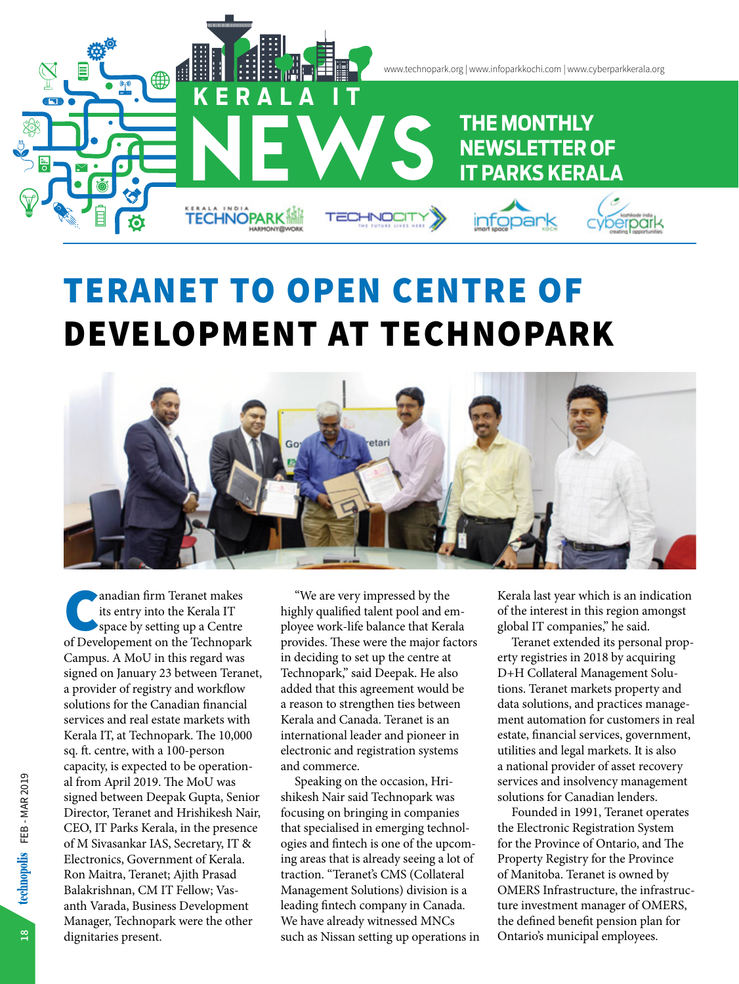

# TERANET TO OPEN CENTRE OF DEVELOPMENT AT TECHNOPARK



anadian firm Teranet makes<br>
its entry into the Kerala IT<br>
space by setting up a Centre<br>
of Developement on the Technopark its entry into the Kerala IT space by setting up a Centre Campus. A MoU in this regard was signed on January 23 between Teranet, a provider of registry and workflow solutions for the Canadian financial services and real estate markets with Kerala IT, at Technopark. The 10,000 sq. ft. centre, with a 100-person capacity, is expected to be operational from April 2019. The MoU was signed between Deepak Gupta, Senior Director, Teranet and Hrishikesh Nair, CEO, IT Parks Kerala, in the presence of M Sivasankar IAS, Secretary, IT & Electronics, Government of Kerala. Ron Maitra, Teranet; Ajith Prasad Balakrishnan, CM IT Fellow; Vasanth Varada, Business Development Manager, Technopark were the other dignitaries present.

"We are very impressed by the highly qualified talent pool and employee work-life balance that Kerala provides. These were the major factors in deciding to set up the centre at Technopark," said Deepak. He also added that this agreement would be a reason to strengthen ties between Kerala and Canada. Teranet is an international leader and pioneer in electronic and registration systems and commerce.

Speaking on the occasion, Hrishikesh Nair said Technopark was focusing on bringing in companies that specialised in emerging technologies and fintech is one of the upcoming areas that is already seeing a lot of traction. "Teranet's CMS (Collateral Management Solutions) division is a leading fintech company in Canada. We have already witnessed MNCs such as Nissan setting up operations in Kerala last year which is an indication of the interest in this region amongst global IT companies," he said.

Teranet extended its personal property registries in 2018 by acquiring D+H Collateral Management Solutions. Teranet markets property and data solutions, and practices management automation for customers in real estate, financial services, government, utilities and legal markets. It is also a national provider of asset recovery services and insolvency management solutions for Canadian lenders.

Founded in 1991, Teranet operates the Electronic Registration System for the Province of Ontario, and The Property Registry for the Province of Manitoba. Teranet is owned by OMERS Infrastructure, the infrastructure investment manager of OMERS, the defined benefit pension plan for Ontario's municipal employees.

**18**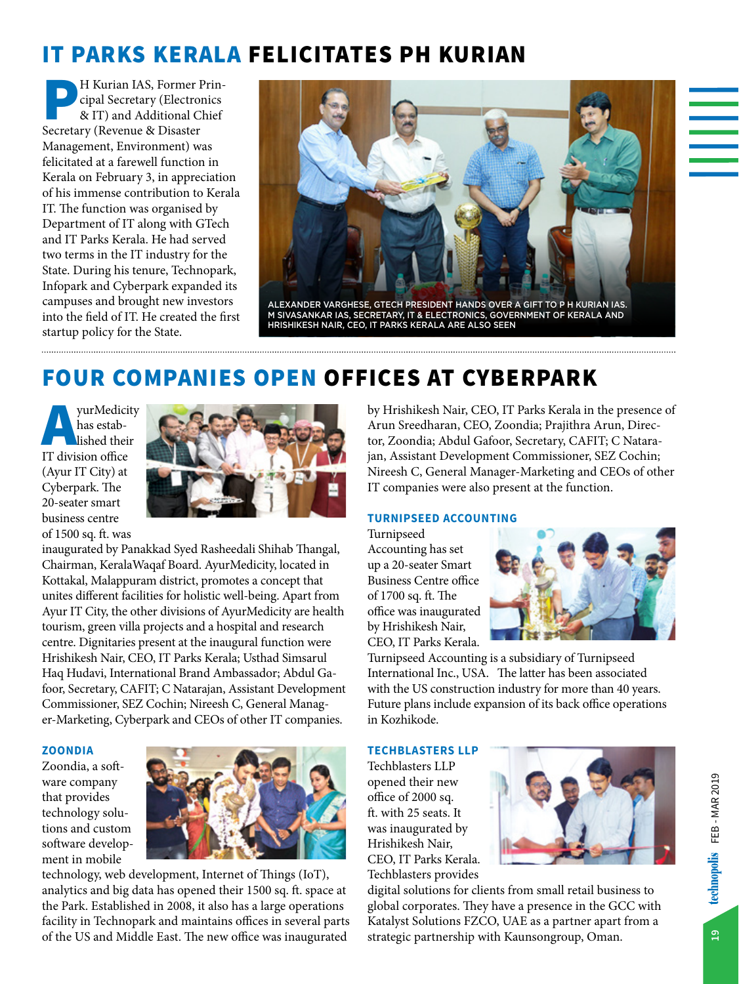## IT PARKS KERALA FELICITATES PH KURIAN

P H Kurian IAS, Former Prin-Secretary (Revenue & Disaster cipal Secretary (Electronics & IT) and Additional Chief Management, Environment) was felicitated at a farewell function in Kerala on February 3, in appreciation of his immense contribution to Kerala IT. The function was organised by Department of IT along with GTech and IT Parks Kerala. He had served two terms in the IT industry for the State. During his tenure, Technopark, Infopark and Cyberpark expanded its campuses and brought new investors into the field of IT. He created the first startup policy for the State.



### FOUR COMPANIES OPEN OFFICES AT CYBERPARK

AyurMedicity IT division office has established their (Ayur IT City) at Cyberpark. The 20-seater smart business centre of 1500 sq. ft. was



inaugurated by Panakkad Syed Rasheedali Shihab Thangal, Chairman, KeralaWaqaf Board. AyurMedicity, located in Kottakal, Malappuram district, promotes a concept that unites different facilities for holistic well-being. Apart from Ayur IT City, the other divisions of AyurMedicity are health tourism, green villa projects and a hospital and research centre. Dignitaries present at the inaugural function were Hrishikesh Nair, CEO, IT Parks Kerala; Usthad Simsarul Haq Hudavi, International Brand Ambassador; Abdul Gafoor, Secretary, CAFIT; C Natarajan, Assistant Development Commissioner, SEZ Cochin; Nireesh C, General Manager-Marketing, Cyberpark and CEOs of other IT companies.

#### **ZOONDIA**

Zoondia, a software company that provides technology solutions and custom software development in mobile



technology, web development, Internet of Things (IoT), analytics and big data has opened their 1500 sq. ft. space at the Park. Established in 2008, it also has a large operations facility in Technopark and maintains offices in several parts of the US and Middle East. The new office was inaugurated

by Hrishikesh Nair, CEO, IT Parks Kerala in the presence of Arun Sreedharan, CEO, Zoondia; Prajithra Arun, Director, Zoondia; Abdul Gafoor, Secretary, CAFIT; C Natarajan, Assistant Development Commissioner, SEZ Cochin; Nireesh C, General Manager-Marketing and CEOs of other IT companies were also present at the function.

#### **TURNIPSEED ACCOUNTING**

Turnipseed Accounting has set up a 20-seater Smart Business Centre office of 1700 sq. ft. The office was inaugurated by Hrishikesh Nair, CEO, IT Parks Kerala.



Turnipseed Accounting is a subsidiary of Turnipseed International Inc., USA. The latter has been associated with the US construction industry for more than 40 years. Future plans include expansion of its back office operations in Kozhikode.

#### **TECHBLASTERS LLP**

Techblasters LLP opened their new office of 2000 sq. ft. with 25 seats. It was inaugurated by Hrishikesh Nair, CEO, IT Parks Kerala. Techblasters provides



digital solutions for clients from small retail business to global corporates. They have a presence in the GCC with Katalyst Solutions FZCO, UAE as a partner apart from a strategic partnership with Kaunsongroup, Oman.